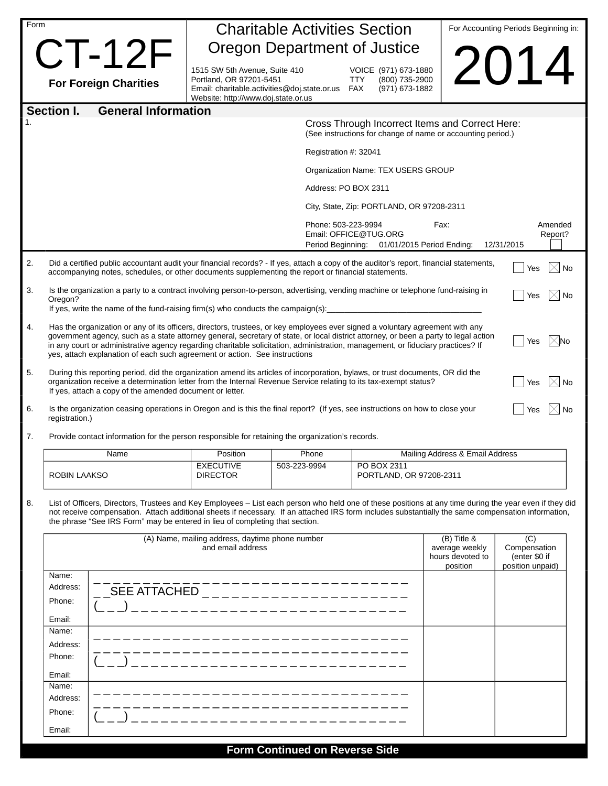| Form |                                                                                                                                                                                                                                                                                                                                                                                                                                                                                                                                 | <b>Charitable Activities Section</b>                                                                               |                                       |                                                                                                                |                                 | For Accounting Periods Beginning in:                     |  |
|------|---------------------------------------------------------------------------------------------------------------------------------------------------------------------------------------------------------------------------------------------------------------------------------------------------------------------------------------------------------------------------------------------------------------------------------------------------------------------------------------------------------------------------------|--------------------------------------------------------------------------------------------------------------------|---------------------------------------|----------------------------------------------------------------------------------------------------------------|---------------------------------|----------------------------------------------------------|--|
|      | $CT-12F$                                                                                                                                                                                                                                                                                                                                                                                                                                                                                                                        |                                                                                                                    | Oregon Department of Justice          |                                                                                                                |                                 |                                                          |  |
|      |                                                                                                                                                                                                                                                                                                                                                                                                                                                                                                                                 | 1515 SW 5th Avenue, Suite 410                                                                                      |                                       | VOICE (971) 673-1880                                                                                           |                                 | 2014                                                     |  |
|      | <b>For Foreign Charities</b>                                                                                                                                                                                                                                                                                                                                                                                                                                                                                                    | Portland, OR 97201-5451<br>Email: charitable.activities@doj.state.or.us FAX<br>Website: http://www.doj.state.or.us |                                       | <b>TTY</b><br>(800) 735-2900<br>(971) 673-1882                                                                 |                                 |                                                          |  |
|      | <b>General Information</b><br><b>Section I.</b>                                                                                                                                                                                                                                                                                                                                                                                                                                                                                 |                                                                                                                    |                                       |                                                                                                                |                                 |                                                          |  |
| 1.   |                                                                                                                                                                                                                                                                                                                                                                                                                                                                                                                                 |                                                                                                                    |                                       | Cross Through Incorrect Items and Correct Here:<br>(See instructions for change of name or accounting period.) |                                 |                                                          |  |
|      |                                                                                                                                                                                                                                                                                                                                                                                                                                                                                                                                 |                                                                                                                    | Registration #: 32041                 |                                                                                                                |                                 |                                                          |  |
|      |                                                                                                                                                                                                                                                                                                                                                                                                                                                                                                                                 |                                                                                                                    |                                       | Organization Name: TEX USERS GROUP                                                                             |                                 |                                                          |  |
|      |                                                                                                                                                                                                                                                                                                                                                                                                                                                                                                                                 |                                                                                                                    |                                       | Address: PO BOX 2311                                                                                           |                                 |                                                          |  |
|      |                                                                                                                                                                                                                                                                                                                                                                                                                                                                                                                                 |                                                                                                                    |                                       | City, State, Zip: PORTLAND, OR 97208-2311                                                                      |                                 |                                                          |  |
|      |                                                                                                                                                                                                                                                                                                                                                                                                                                                                                                                                 |                                                                                                                    | Phone: 503-223-9994                   | Email: OFFICE@TUG.ORG<br>Period Beginning: 01/01/2015 Period Ending:                                           | Fax:                            | Amended<br>Report?<br>12/31/2015                         |  |
| 2.   | Did a certified public accountant audit your financial records? - If yes, attach a copy of the auditor's report, financial statements,<br>accompanying notes, schedules, or other documents supplementing the report or financial statements.                                                                                                                                                                                                                                                                                   |                                                                                                                    |                                       |                                                                                                                |                                 | $\times$   No<br>Yes                                     |  |
| 3.   | Is the organization a party to a contract involving person-to-person, advertising, vending machine or telephone fund-raising in<br>Oregon?<br>If yes, write the name of the fund-raising firm(s) who conducts the campaign(s):                                                                                                                                                                                                                                                                                                  |                                                                                                                    |                                       |                                                                                                                |                                 | Yes<br>$\times$ l No                                     |  |
| 4.   | Has the organization or any of its officers, directors, trustees, or key employees ever signed a voluntary agreement with any<br>government agency, such as a state attorney general, secretary of state, or local district attorney, or been a party to legal action<br>$\mathsf{1}\times\mathsf{N}$ o<br>Yes<br>in any court or administrative agency regarding charitable solicitation, administration, management, or fiduciary practices? If<br>yes, attach explanation of each such agreement or action. See instructions |                                                                                                                    |                                       |                                                                                                                |                                 |                                                          |  |
| 5.   | During this reporting period, did the organization amend its articles of incorporation, bylaws, or trust documents, OR did the<br>$\bowtie$ No<br>organization receive a determination letter from the Internal Revenue Service relating to its tax-exempt status?<br>Yes<br>If yes, attach a copy of the amended document or letter.                                                                                                                                                                                           |                                                                                                                    |                                       |                                                                                                                |                                 |                                                          |  |
| 6.   | Is the organization ceasing operations in Oregon and is this the final report? (If yes, see instructions on how to close your<br>Yes<br>registration.)                                                                                                                                                                                                                                                                                                                                                                          |                                                                                                                    |                                       |                                                                                                                |                                 |                                                          |  |
| 7.   | Provide contact information for the person responsible for retaining the organization's records.                                                                                                                                                                                                                                                                                                                                                                                                                                |                                                                                                                    |                                       |                                                                                                                |                                 |                                                          |  |
|      | Name                                                                                                                                                                                                                                                                                                                                                                                                                                                                                                                            | Position                                                                                                           | Phone                                 |                                                                                                                | Mailing Address & Email Address |                                                          |  |
|      | ROBIN LAAKSO                                                                                                                                                                                                                                                                                                                                                                                                                                                                                                                    | <b>EXECUTIVE</b><br><b>DIRECTOR</b>                                                                                | 503-223-9994                          | PO BOX 2311<br>PORTLAND, OR 97208-2311                                                                         |                                 |                                                          |  |
| 8.   | List of Officers, Directors, Trustees and Key Employees - List each person who held one of these positions at any time during the year even if they did<br>not receive compensation. Attach additional sheets if necessary. If an attached IRS form includes substantially the same compensation information,<br>the phrase "See IRS Form" may be entered in lieu of completing that section.                                                                                                                                   |                                                                                                                    |                                       |                                                                                                                |                                 |                                                          |  |
|      | (A) Name, mailing address, daytime phone number<br>$(B)$ Title &<br>and email address<br>average weekly<br>hours devoted to<br>position                                                                                                                                                                                                                                                                                                                                                                                         |                                                                                                                    |                                       |                                                                                                                |                                 | (C)<br>Compensation<br>(enter \$0 if<br>position unpaid) |  |
|      | Name:<br>Address:<br>Phone:<br>Email:<br>Name:                                                                                                                                                                                                                                                                                                                                                                                                                                                                                  | SEE ATTACHED _______________________                                                                               | ----------------                      |                                                                                                                |                                 |                                                          |  |
|      | Address:<br>Phone:                                                                                                                                                                                                                                                                                                                                                                                                                                                                                                              |                                                                                                                    | ---------                             |                                                                                                                |                                 |                                                          |  |
|      | Email:                                                                                                                                                                                                                                                                                                                                                                                                                                                                                                                          |                                                                                                                    |                                       |                                                                                                                |                                 |                                                          |  |
|      | Name:<br>Address:                                                                                                                                                                                                                                                                                                                                                                                                                                                                                                               |                                                                                                                    |                                       |                                                                                                                |                                 |                                                          |  |
|      | Phone:                                                                                                                                                                                                                                                                                                                                                                                                                                                                                                                          |                                                                                                                    |                                       |                                                                                                                |                                 |                                                          |  |
|      | Email:                                                                                                                                                                                                                                                                                                                                                                                                                                                                                                                          |                                                                                                                    |                                       |                                                                                                                |                                 |                                                          |  |
|      |                                                                                                                                                                                                                                                                                                                                                                                                                                                                                                                                 |                                                                                                                    | <b>Form Continued on Reverse Side</b> |                                                                                                                |                                 |                                                          |  |

**Form Continued on Reverse Side**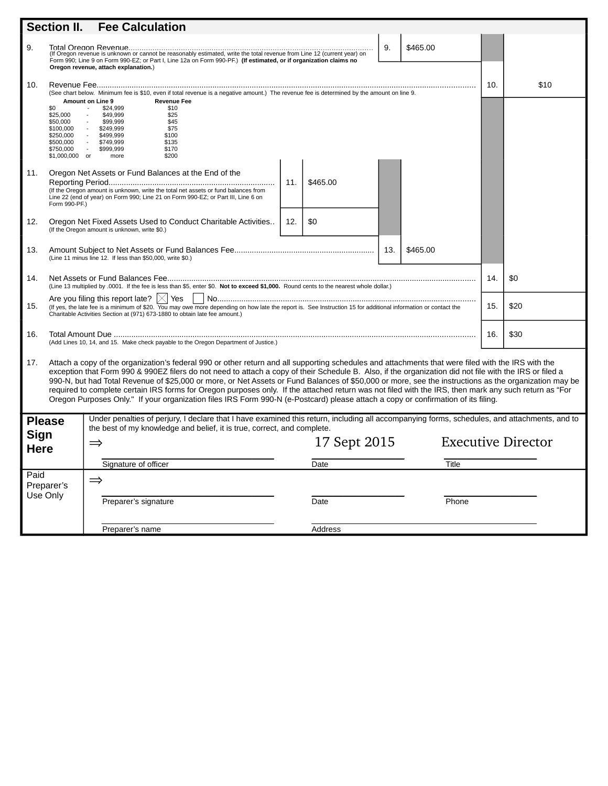| Section II.<br><b>Fee Calculation</b>                                                                                                                                                                                                    |                                                                                                                                                                                                                                                                                                                                                                                                                                                                                                                                                                                                                                                                                                                                                                      |                                                                                                                                                                                                                                     |     |              |     |          |                           |      |
|------------------------------------------------------------------------------------------------------------------------------------------------------------------------------------------------------------------------------------------|----------------------------------------------------------------------------------------------------------------------------------------------------------------------------------------------------------------------------------------------------------------------------------------------------------------------------------------------------------------------------------------------------------------------------------------------------------------------------------------------------------------------------------------------------------------------------------------------------------------------------------------------------------------------------------------------------------------------------------------------------------------------|-------------------------------------------------------------------------------------------------------------------------------------------------------------------------------------------------------------------------------------|-----|--------------|-----|----------|---------------------------|------|
| 9.                                                                                                                                                                                                                                       | 9.<br>\$465.00<br>Form 990; Line 9 on Form 990-EZ; or Part I, Line 12a on Form 990-PF.) (If estimated, or if organization claims no<br>Oregon revenue, attach explanation.)                                                                                                                                                                                                                                                                                                                                                                                                                                                                                                                                                                                          |                                                                                                                                                                                                                                     |     |              |     |          |                           |      |
| 10.                                                                                                                                                                                                                                      | (See chart below. Minimum fee is \$10, even if total revenue is a negative amount.) The revenue fee is determined by the amount on line 9.                                                                                                                                                                                                                                                                                                                                                                                                                                                                                                                                                                                                                           |                                                                                                                                                                                                                                     |     |              |     |          | 10.                       | \$10 |
|                                                                                                                                                                                                                                          | \$0<br>\$25,000<br>\$50,000<br>\$100,000<br>\$250,000<br>\$500,000<br>\$750,000                                                                                                                                                                                                                                                                                                                                                                                                                                                                                                                                                                                                                                                                                      | <b>Amount on Line 9</b><br><b>Revenue Fee</b><br>\$24,999<br>\$10<br>\$49.999<br>\$25<br>\$99,999<br>\$45<br>\$75<br>\$249,999<br>\$499.999<br>\$100<br>\$749,999<br>\$135<br>\$999.999<br>\$170<br>\$1,000,000 or<br>\$200<br>more |     |              |     |          |                           |      |
| 11.                                                                                                                                                                                                                                      | Form 990-PF.)                                                                                                                                                                                                                                                                                                                                                                                                                                                                                                                                                                                                                                                                                                                                                        | Oregon Net Assets or Fund Balances at the End of the<br>(If the Oregon amount is unknown, write the total net assets or fund balances from<br>Line 22 (end of year) on Form 990; Line 21 on Form 990-EZ; or Part III, Line 6 on     | 11. | \$465.00     |     |          |                           |      |
| 12.                                                                                                                                                                                                                                      |                                                                                                                                                                                                                                                                                                                                                                                                                                                                                                                                                                                                                                                                                                                                                                      | Oregon Net Fixed Assets Used to Conduct Charitable Activities<br>(If the Oregon amount is unknown, write \$0.)                                                                                                                      | 12. | \$0          |     |          |                           |      |
| 13.                                                                                                                                                                                                                                      |                                                                                                                                                                                                                                                                                                                                                                                                                                                                                                                                                                                                                                                                                                                                                                      | (Line 11 minus line 12. If less than \$50,000, write \$0.)                                                                                                                                                                          |     |              | 13. | \$465.00 |                           |      |
| 14.                                                                                                                                                                                                                                      |                                                                                                                                                                                                                                                                                                                                                                                                                                                                                                                                                                                                                                                                                                                                                                      | (Line 13 multiplied by .0001. If the fee is less than \$5, enter \$0. Not to exceed \$1,000. Round cents to the nearest whole dollar.)                                                                                              |     |              |     |          | 14.                       | \$0  |
| 15.                                                                                                                                                                                                                                      | Are you filing this report late? $ \times $ Yes<br>\$20<br>15.<br>(If yes, the late fee is a minimum of \$20. You may owe more depending on how late the report is. See Instruction 15 for additional information or contact the<br>Charitable Activities Section at (971) 673-1880 to obtain late fee amount.)                                                                                                                                                                                                                                                                                                                                                                                                                                                      |                                                                                                                                                                                                                                     |     |              |     |          |                           |      |
| 16.                                                                                                                                                                                                                                      | (Add Lines 10, 14, and 15. Make check payable to the Oregon Department of Justice.)                                                                                                                                                                                                                                                                                                                                                                                                                                                                                                                                                                                                                                                                                  |                                                                                                                                                                                                                                     |     |              |     | 16.      | \$30                      |      |
| 17.                                                                                                                                                                                                                                      | Attach a copy of the organization's federal 990 or other return and all supporting schedules and attachments that were filed with the IRS with the<br>exception that Form 990 & 990EZ filers do not need to attach a copy of their Schedule B. Also, if the organization did not file with the IRS or filed a<br>990-N, but had Total Revenue of \$25,000 or more, or Net Assets or Fund Balances of \$50,000 or more, see the instructions as the organization may be<br>required to complete certain IRS forms for Oregon purposes only. If the attached return was not filed with the IRS, then mark any such return as "For<br>Oregon Purposes Only." If your organization files IRS Form 990-N (e-Postcard) please attach a copy or confirmation of its filing. |                                                                                                                                                                                                                                     |     |              |     |          |                           |      |
| Under penalties of perjury, I declare that I have examined this return, including all accompanying forms, schedules, and attachments, and to<br><b>Please</b><br>the best of my knowledge and belief, it is true, correct, and complete. |                                                                                                                                                                                                                                                                                                                                                                                                                                                                                                                                                                                                                                                                                                                                                                      |                                                                                                                                                                                                                                     |     |              |     |          |                           |      |
| Sign<br><b>Here</b>                                                                                                                                                                                                                      |                                                                                                                                                                                                                                                                                                                                                                                                                                                                                                                                                                                                                                                                                                                                                                      | $\Rightarrow$                                                                                                                                                                                                                       |     | 17 Sept 2015 |     |          | <b>Executive Director</b> |      |
|                                                                                                                                                                                                                                          |                                                                                                                                                                                                                                                                                                                                                                                                                                                                                                                                                                                                                                                                                                                                                                      | Signature of officer                                                                                                                                                                                                                |     | Date         |     | Title    |                           |      |
| Paid<br>$\Rightarrow$<br>Preparer's<br>Use Only<br>Preparer's signature<br>Date                                                                                                                                                          |                                                                                                                                                                                                                                                                                                                                                                                                                                                                                                                                                                                                                                                                                                                                                                      |                                                                                                                                                                                                                                     |     |              |     |          |                           |      |
|                                                                                                                                                                                                                                          |                                                                                                                                                                                                                                                                                                                                                                                                                                                                                                                                                                                                                                                                                                                                                                      |                                                                                                                                                                                                                                     |     | Phone        |     |          |                           |      |
|                                                                                                                                                                                                                                          | Preparer's name                                                                                                                                                                                                                                                                                                                                                                                                                                                                                                                                                                                                                                                                                                                                                      |                                                                                                                                                                                                                                     |     | Address      |     |          |                           |      |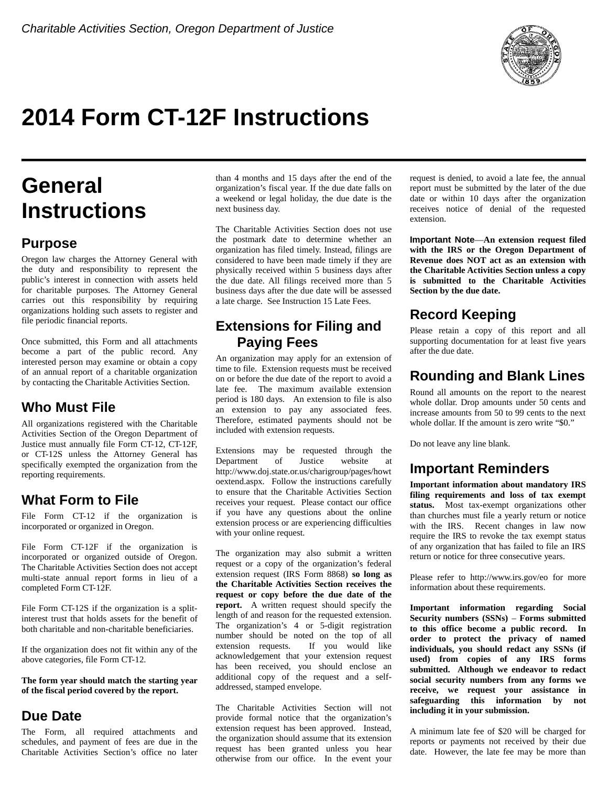

# **2014 Form CT-12F Instructions**

# **General Instructions**

## **Purpose**

Oregon law charges the Attorney General with the duty and responsibility to represent the public's interest in connection with assets held for charitable purposes. The Attorney General carries out this responsibility by requiring organizations holding such assets to register and file periodic financial reports.

Once submitted, this Form and all attachments become a part of the public record. Any interested person may examine or obtain a copy of an annual report of a charitable organization by contacting the Charitable Activities Section.

## **Who Must File**

All organizations registered with the Charitable Activities Section of the Oregon Department of Justice must annually file Form CT-12, CT-12F, or CT-12S unless the Attorney General has specifically exempted the organization from the reporting requirements.

## **What Form to File**

File Form CT-12 if the organization is incorporated or organized in Oregon.

File Form CT-12F if the organization is incorporated or organized outside of Oregon. The Charitable Activities Section does not accept multi-state annual report forms in lieu of a completed Form CT-12F.

File Form CT-12S if the organization is a splitinterest trust that holds assets for the benefit of both charitable and non-charitable beneficiaries.

If the organization does not fit within any of the above categories, file Form CT-12.

**The form year should match the starting year of the fiscal period covered by the report.**

## **Due Date**

The Form, all required attachments and schedules, and payment of fees are due in the Charitable Activities Section's office no later

than 4 months and 15 days after the end of the organization's fiscal year. If the due date falls on a weekend or legal holiday, the due date is the next business day.

The Charitable Activities Section does not use the postmark date to determine whether an organization has filed timely. Instead, filings are considered to have been made timely if they are physically received within 5 business days after the due date. All filings received more than 5 business days after the due date will be assessed a late charge. See Instruction 15 Late Fees.

### **Extensions for Filing and Paying Fees**

An organization may apply for an extension of time to file. Extension requests must be received on or before the due date of the report to avoid a late fee. The maximum available extension period is 180 days. An extension to file is also an extension to pay any associated fees. Therefore, estimated payments should not be included with extension requests.

Extensions may be requested through the Department of Justice website at http://www.doj.state.or.us/charigroup/pages/howt oextend.aspx. Follow the instructions carefully to ensure that the Charitable Activities Section receives your request. Please contact our office if you have any questions about the online extension process or are experiencing difficulties with your online request.

The organization may also submit a written request or a copy of the organization's federal extension request (IRS Form 8868) **so long as the Charitable Activities Section receives the request or copy before the due date of the report.** A written request should specify the length of and reason for the requested extension. The organization's 4 or 5-digit registration number should be noted on the top of all extension requests. If you would like acknowledgement that your extension request has been received, you should enclose an additional copy of the request and a selfaddressed, stamped envelope.

The Charitable Activities Section will not provide formal notice that the organization's extension request has been approved. Instead, the organization should assume that its extension request has been granted unless you hear otherwise from our office. In the event your

request is denied, to avoid a late fee, the annual report must be submitted by the later of the due date or within 10 days after the organization receives notice of denial of the requested extension.

**Important Note**—**An extension request filed with the IRS or the Oregon Department of Revenue does NOT act as an extension with the Charitable Activities Section unless a copy is submitted to the Charitable Activities Section by the due date.**

## **Record Keeping**

Please retain a copy of this report and all supporting documentation for at least five years after the due date.

## **Rounding and Blank Lines**

Round all amounts on the report to the nearest whole dollar. Drop amounts under 50 cents and increase amounts from 50 to 99 cents to the next whole dollar. If the amount is zero write "\$0."

Do not leave any line blank.

## **Important Reminders**

**Important information about mandatory IRS filing requirements and loss of tax exempt status.** Most tax-exempt organizations other than churches must file a yearly return or notice with the IRS. Recent changes in law now require the IRS to revoke the tax exempt status of any organization that has failed to file an IRS return or notice for three consecutive years.

Please refer to http://www.irs.gov/eo for more information about these requirements.

**Important information regarding Social Security numbers (SSNs)** – **Forms submitted to this office become a public record. In order to protect the privacy of named individuals, you should redact any SSNs (if used) from copies of any IRS forms submitted. Although we endeavor to redact social security numbers from any forms we receive, we request your assistance in safeguarding this information by not including it in your submission.**

A minimum late fee of \$20 will be charged for reports or payments not received by their due date. However, the late fee may be more than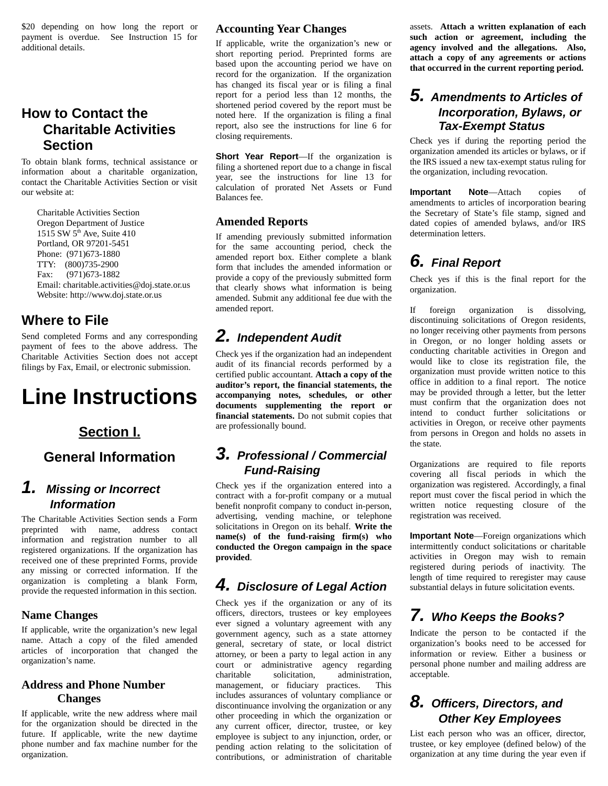\$20 depending on how long the report or payment is overdue. See Instruction 15 for additional details.

## **How to Contact the Charitable Activities Section**

To obtain blank forms, technical assistance or information about a charitable organization, contact the Charitable Activities Section or visit our website at:

 Charitable Activities Section Oregon Department of Justice 1515 SW 5<sup>th</sup> Ave, Suite 410 Portland, OR 97201-5451 Phone: (971)673-1880 TTY: (800)735-2900 Fax: (971)673-1882 Email: charitable.activities@doj.state.or.us Website: http://www.doj.state.or.us

### **Where to File**

Send completed Forms and any corresponding payment of fees to the above address. The Charitable Activities Section does not accept filings by Fax, Email, or electronic submission.

# **Line Instructions**

## **Section I.**

## **General Information**

## *1. Missing or Incorrect Information*

The Charitable Activities Section sends a Form preprinted with name, address contact information and registration number to all registered organizations. If the organization has received one of these preprinted Forms, provide any missing or corrected information. If the organization is completing a blank Form, provide the requested information in this section.

#### **Name Changes**

If applicable, write the organization's new legal name. Attach a copy of the filed amended articles of incorporation that changed the organization's name.

#### **Address and Phone Number Changes**

If applicable, write the new address where mail for the organization should be directed in the future. If applicable, write the new daytime phone number and fax machine number for the organization.

#### **Accounting Year Changes**

If applicable, write the organization's new or short reporting period. Preprinted forms are based upon the accounting period we have on record for the organization. If the organization has changed its fiscal year or is filing a final report for a period less than 12 months, the shortened period covered by the report must be noted here. If the organization is filing a final report, also see the instructions for line 6 for closing requirements.

**Short Year Report**—If the organization is filing a shortened report due to a change in fiscal year, see the instructions for line 13 for calculation of prorated Net Assets or Fund Balances fee.

#### **Amended Reports**

If amending previously submitted information for the same accounting period, check the amended report box. Either complete a blank form that includes the amended information or provide a copy of the previously submitted form that clearly shows what information is being amended. Submit any additional fee due with the amended report.

# *2. Independent Audit*

Check yes if the organization had an independent audit of its financial records performed by a certified public accountant. **Attach a copy of the auditor's report, the financial statements, the accompanying notes, schedules, or other documents supplementing the report or financial statements.** Do not submit copies that are professionally bound.

## *3. Professional / Commercial Fund-Raising*

Check yes if the organization entered into a contract with a for-profit company or a mutual benefit nonprofit company to conduct in-person, advertising, vending machine, or telephone solicitations in Oregon on its behalf. **Write the name(s) of the fund-raising firm(s) who conducted the Oregon campaign in the space provided**.

# *4. Disclosure of Legal Action*

Check yes if the organization or any of its officers, directors, trustees or key employees ever signed a voluntary agreement with any government agency, such as a state attorney general, secretary of state, or local district attorney, or been a party to legal action in any court or administrative agency regarding charitable solicitation, administration, management, or fiduciary practices. This includes assurances of voluntary compliance or discontinuance involving the organization or any other proceeding in which the organization or any current officer, director, trustee, or key employee is subject to any injunction, order, or pending action relating to the solicitation of contributions, or administration of charitable

assets. **Attach a written explanation of each such action or agreement, including the agency involved and the allegations. Also, attach a copy of any agreements or actions that occurred in the current reporting period.**

## *5. Amendments to Articles of Incorporation, Bylaws, or Tax-Exempt Status*

Check yes if during the reporting period the organization amended its articles or bylaws, or if the IRS issued a new tax-exempt status ruling for the organization, including revocation.

**Important Note**—Attach copies of amendments to articles of incorporation bearing the Secretary of State's file stamp, signed and dated copies of amended bylaws, and/or IRS determination letters.

# *6. Final Report*

Check yes if this is the final report for the organization.

If foreign organization is dissolving, discontinuing solicitations of Oregon residents, no longer receiving other payments from persons in Oregon, or no longer holding assets or conducting charitable activities in Oregon and would like to close its registration file, the organization must provide written notice to this office in addition to a final report. The notice may be provided through a letter, but the letter must confirm that the organization does not intend to conduct further solicitations or activities in Oregon, or receive other payments from persons in Oregon and holds no assets in the state.

Organizations are required to file reports covering all fiscal periods in which the organization was registered. Accordingly, a final report must cover the fiscal period in which the written notice requesting closure of the registration was received.

**Important Note**—Foreign organizations which intermittently conduct solicitations or charitable activities in Oregon may wish to remain registered during periods of inactivity. The length of time required to reregister may cause substantial delays in future solicitation events.

# *7. Who Keeps the Books?*

Indicate the person to be contacted if the organization's books need to be accessed for information or review. Either a business or personal phone number and mailing address are acceptable.

## *8. Officers, Directors, and Other Key Employees*

List each person who was an officer, director, trustee, or key employee (defined below) of the organization at any time during the year even if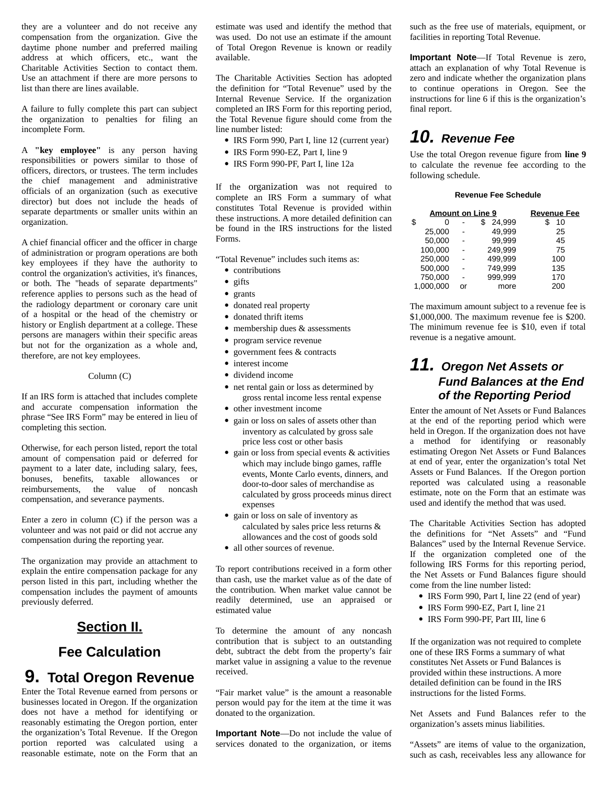they are a volunteer and do not receive any compensation from the organization. Give the daytime phone number and preferred mailing address at which officers, etc., want the Charitable Activities Section to contact them. Use an attachment if there are more persons to list than there are lines available.

A failure to fully complete this part can subject the organization to penalties for filing an incomplete Form.

A **"key employee"** is any person having responsibilities or powers similar to those of officers, directors, or trustees. The term includes the chief management and administrative officials of an organization (such as executive director) but does not include the heads of separate departments or smaller units within an organization.

A chief financial officer and the officer in charge of administration or program operations are both key employees if they have the authority to control the organization's activities, it's finances, or both. The "heads of separate departments" reference applies to persons such as the head of the radiology department or coronary care unit of a hospital or the head of the chemistry or history or English department at a college. These persons are managers within their specific areas but not for the organization as a whole and, therefore, are not key employees.

#### Column (C)

If an IRS form is attached that includes complete and accurate compensation information the phrase "See IRS Form" may be entered in lieu of completing this section.

Otherwise, for each person listed, report the total amount of compensation paid or deferred for payment to a later date, including salary, fees, bonuses, benefits, taxable allowances or reimbursements, the value of noncash compensation, and severance payments.

Enter a zero in column (C) if the person was a volunteer and was not paid or did not accrue any compensation during the reporting year.

The organization may provide an attachment to explain the entire compensation package for any person listed in this part, including whether the compensation includes the payment of amounts previously deferred.

#### **Section II.**

### **Fee Calculation**

# **9. Total Oregon Revenue**

Enter the Total Revenue earned from persons or businesses located in Oregon. If the organization does not have a method for identifying or reasonably estimating the Oregon portion, enter the organization's Total Revenue. If the Oregon portion reported was calculated using a reasonable estimate, note on the Form that an

estimate was used and identify the method that was used. Do not use an estimate if the amount of Total Oregon Revenue is known or readily available.

The Charitable Activities Section has adopted the definition for "Total Revenue" used by the Internal Revenue Service. If the organization completed an IRS Form for this reporting period, the Total Revenue figure should come from the line number listed:

- IRS Form 990, Part I, line 12 (current year)
- IRS Form 990-EZ, Part I, line 9
- IRS Form 990-PF, Part I, line 12a

If the organization was not required to complete an IRS Form a summary of what constitutes Total Revenue is provided within these instructions. A more detailed definition can be found in the IRS instructions for the listed Forms.

"Total Revenue" includes such items as:

- contributions
- gifts
- grants
- donated real property
- donated thrift items
- membership dues & assessments
- program service revenue
- government fees & contracts
- interest income
- dividend income
- net rental gain or loss as determined by gross rental income less rental expense
- other investment income
- gain or loss on sales of assets other than inventory as calculated by gross sale price less cost or other basis
- gain or loss from special events & activities which may include bingo games, raffle events, Monte Carlo events, dinners, and door-to-door sales of merchandise as calculated by gross proceeds minus direct expenses
- gain or loss on sale of inventory as calculated by sales price less returns & allowances and the cost of goods sold
- all other sources of revenue.

To report contributions received in a form other than cash, use the market value as of the date of the contribution. When market value cannot be readily determined, use an appraised or estimated value

To determine the amount of any noncash contribution that is subject to an outstanding debt, subtract the debt from the property's fair market value in assigning a value to the revenue received.

"Fair market value" is the amount a reasonable person would pay for the item at the time it was donated to the organization.

**Important Note**—Do not include the value of services donated to the organization, or items such as the free use of materials, equipment, or facilities in reporting Total Revenue.

**Important Note**—If Total Revenue is zero, attach an explanation of why Total Revenue is zero and indicate whether the organization plans to continue operations in Oregon. See the instructions for line 6 if this is the organization's final report.

# *10. Revenue Fee*

Use the total Oregon revenue figure from **line 9** to calculate the revenue fee according to the following schedule.

#### **Revenue Fee Schedule**

| <b>Amount on Line 9</b> | <b>Revenue Fee</b> |              |          |
|-------------------------|--------------------|--------------|----------|
| \$<br>ი                 |                    | 24,999<br>\$ | 10<br>\$ |
| 25,000                  |                    | 49.999       | 25       |
| 50,000                  |                    | 99,999       | 45       |
| 100,000                 |                    | 249.999      | 75       |
| 250,000                 |                    | 499.999      | 100      |
| 500,000                 |                    | 749.999      | 135      |
| 750,000                 |                    | 999.999      | 170      |
| 1,000,000               | nr                 | more         | 200      |

The maximum amount subject to a revenue fee is \$1,000,000. The maximum revenue fee is \$200. The minimum revenue fee is \$10, even if total revenue is a negative amount.

## *11. Oregon Net Assets or Fund Balances at the End of the Reporting Period*

Enter the amount of Net Assets or Fund Balances at the end of the reporting period which were held in Oregon. If the organization does not have a method for identifying or reasonably estimating Oregon Net Assets or Fund Balances at end of year, enter the organization's total Net Assets or Fund Balances. If the Oregon portion reported was calculated using a reasonable estimate, note on the Form that an estimate was used and identify the method that was used.

The Charitable Activities Section has adopted the definitions for "Net Assets" and "Fund Balances" used by the Internal Revenue Service. If the organization completed one of the following IRS Forms for this reporting period, the Net Assets or Fund Balances figure should come from the line number listed:

- IRS Form 990, Part I, line 22 (end of year)
- IRS Form 990-EZ, Part I, line 21
- IRS Form 990-PF, Part III, line 6

If the organization was not required to complete one of these IRS Forms a summary of what constitutes Net Assets or Fund Balances is provided within these instructions. A more detailed definition can be found in the IRS instructions for the listed Forms.

Net Assets and Fund Balances refer to the organization's assets minus liabilities.

"Assets" are items of value to the organization, such as cash, receivables less any allowance for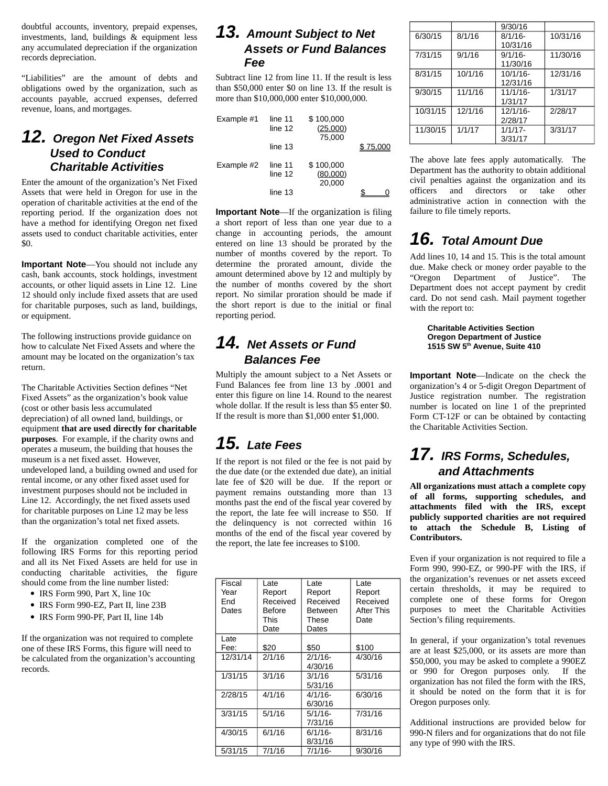doubtful accounts, inventory, prepaid expenses, investments, land, buildings & equipment less any accumulated depreciation if the organization records depreciation.

"Liabilities" are the amount of debts and obligations owed by the organization, such as accounts payable, accrued expenses, deferred revenue, loans, and mortgages.

#### *12. Oregon Net Fixed Assets Used to Conduct Charitable Activities*

Enter the amount of the organization's Net Fixed Assets that were held in Oregon for use in the operation of charitable activities at the end of the reporting period. If the organization does not have a method for identifying Oregon net fixed assets used to conduct charitable activities, enter \$0.

**Important Note**—You should not include any cash, bank accounts, stock holdings, investment accounts, or other liquid assets in Line 12. Line 12 should only include fixed assets that are used for charitable purposes, such as land, buildings, or equipment.

The following instructions provide guidance on how to calculate Net Fixed Assets and where the amount may be located on the organization's tax return.

The Charitable Activities Section defines "Net Fixed Assets" as the organization's book value (cost or other basis less accumulated depreciation) of all owned land, buildings, or equipment **that are used directly for charitable purposes**. For example, if the charity owns and operates a museum, the building that houses the museum is a net fixed asset. However, undeveloped land, a building owned and used for rental income, or any other fixed asset used for investment purposes should not be included in Line 12. Accordingly, the net fixed assets used for charitable purposes on Line 12 may be less than the organization's total net fixed assets.

If the organization completed one of the following IRS Forms for this reporting period and all its Net Fixed Assets are held for use in conducting charitable activities, the figure should come from the line number listed:

- IRS Form 990, Part X, line 10c
- IRS Form 990-EZ, Part II, line 23B
- IRS Form 990-PF, Part II, line 14b

If the organization was not required to complete one of these IRS Forms, this figure will need to be calculated from the organization's accounting records.

#### *13. Amount Subject to Net Assets or Fund Balances Fee*

Subtract line 12 from line 11. If the result is less than \$50,000 enter \$0 on line 13. If the result is more than \$10,000,000 enter \$10,000,000.

| Example #1 | line 11<br>line 12<br>line $13$ | \$100,000<br>(25,000)<br>75,000 | \$75.000 |
|------------|---------------------------------|---------------------------------|----------|
| Example #2 | line 11<br>line 12<br>line 13   | \$100,000<br>(80,000)<br>20,000 |          |

**Important Note**—If the organization is filing a short report of less than one year due to a change in accounting periods, the amount entered on line 13 should be prorated by the number of months covered by the report. To determine the prorated amount, divide the amount determined above by 12 and multiply by the number of months covered by the short report. No similar proration should be made if the short report is due to the initial or final reporting period.

### *14. Net Assets or Fund Balances Fee*

Multiply the amount subject to a Net Assets or Fund Balances fee from line 13 by .0001 and enter this figure on line 14. Round to the nearest whole dollar. If the result is less than \$5 enter \$0. If the result is more than \$1,000 enter \$1,000.

# *15. Late Fees*

If the report is not filed or the fee is not paid by the due date (or the extended due date), an initial late fee of \$20 will be due. If the report or payment remains outstanding more than 13 months past the end of the fiscal year covered by the report, the late fee will increase to \$50. If the delinquency is not corrected within 16 months of the end of the fiscal year covered by the report, the late fee increases to \$100.

| Fiscal   | Late     | Late           | Late       |
|----------|----------|----------------|------------|
| Year     | Report   | Report         | Report     |
| End      | Received | Received       | Received   |
| Dates    | Before   | <b>Between</b> | After This |
|          | This     | These          | Date       |
|          | Date     | Dates          |            |
| Late     |          |                |            |
| Fee:     | \$20     | \$50           | \$100      |
| 12/31/14 | 2/1/16   | $2/1/16$ -     | 4/30/16    |
|          |          | 4/30/16        |            |
| 1/31/15  | 3/1/16   | 3/1/16         | 5/31/16    |
|          |          | 5/31/16        |            |
| 2/28/15  | 4/1/16   | $4/1/16$ -     | 6/30/16    |
|          |          | 6/30/16        |            |
| 3/31/15  | 5/1/16   | 5/1/16-        | 7/31/16    |
|          |          | 7/31/16        |            |
| 4/30/15  | 6/1/16   | $6/1/16$ -     | 8/31/16    |
|          |          | 8/31/16        |            |
| 5/31/15  | 7/1/16   | 7/1/16-        | 9/30/16    |
|          |          |                |            |

|          |         | 9/30/16     |          |
|----------|---------|-------------|----------|
| 6/30/15  | 8/1/16  | $8/1/16$ -  | 10/31/16 |
|          |         | 10/31/16    |          |
| 7/31/15  | 9/1/16  | $9/1/16$ -  | 11/30/16 |
|          |         | 11/30/16    |          |
| 8/31/15  | 10/1/16 | $10/1/16$ - | 12/31/16 |
|          |         | 12/31/16    |          |
| 9/30/15  | 11/1/16 | $11/1/16$ - | 1/31/17  |
|          |         | 1/31/17     |          |
| 10/31/15 | 12/1/16 | 12/1/16-    | 2/28/17  |
|          |         | 2/28/17     |          |
| 11/30/15 | 1/1/17  | $1/1/17$ -  | 3/31/17  |
|          |         | 3/31/17     |          |

The above late fees apply automatically. The Department has the authority to obtain additional civil penalties against the organization and its officers and directors or take other administrative action in connection with the failure to file timely reports.

# *16. Total Amount Due*

Add lines 10, 14 and 15. This is the total amount due. Make check or money order payable to the "Oregon Department of Justice". The Department does not accept payment by credit card. Do not send cash. Mail payment together with the report to:

> **Charitable Activities Section Oregon Department of Justice 1515 SW 5th Avenue, Suite 410**

**Important Note**—Indicate on the check the organization's 4 or 5-digit Oregon Department of Justice registration number. The registration number is located on line 1 of the preprinted Form CT-12F or can be obtained by contacting the Charitable Activities Section.

# *17. IRS Forms, Schedules, and Attachments*

**All organizations must attach a complete copy of all forms, supporting schedules, and attachments filed with the IRS, except publicly supported charities are not required to attach the Schedule B, Listing of Contributors.**

Even if your organization is not required to file a Form 990, 990-EZ, or 990-PF with the IRS, if the organization's revenues or net assets exceed certain thresholds, it may be required to complete one of these forms for Oregon purposes to meet the Charitable Activities Section's filing requirements.

In general, if your organization's total revenues are at least \$25,000, or its assets are more than \$50,000, you may be asked to complete a 990EZ or 990 for Oregon purposes only. If the organization has not filed the form with the IRS, it should be noted on the form that it is for Oregon purposes only.

Additional instructions are provided below for 990-N filers and for organizations that do not file any type of 990 with the IRS.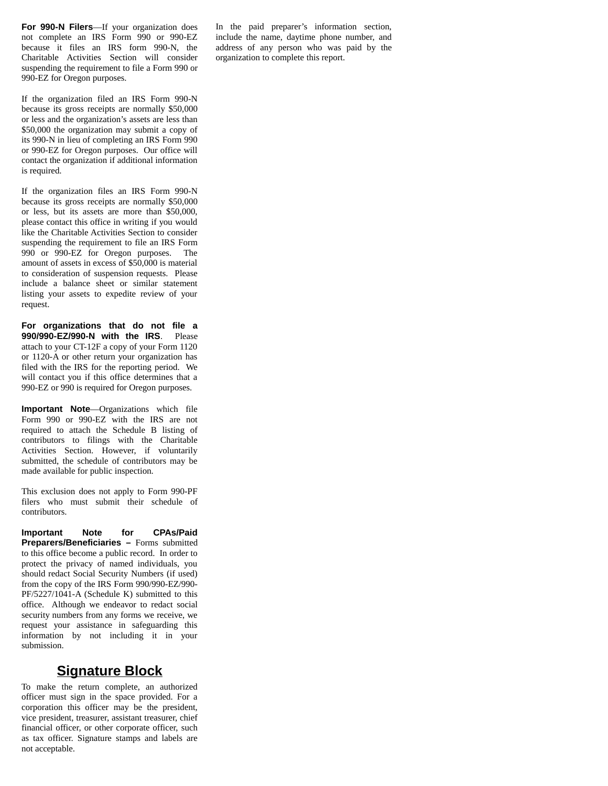**For 990-N Filers**—If your organization does not complete an IRS Form 990 or 990-EZ because it files an IRS form 990-N, the Charitable Activities Section will consider suspending the requirement to file a Form 990 or 990-EZ for Oregon purposes.

If the organization filed an IRS Form 990-N because its gross receipts are normally \$50,000 or less and the organization's assets are less than \$50,000 the organization may submit a copy of its 990-N in lieu of completing an IRS Form 990 or 990-EZ for Oregon purposes. Our office will contact the organization if additional information is required.

If the organization files an IRS Form 990-N because its gross receipts are normally \$50,000 or less, but its assets are more than \$50,000, please contact this office in writing if you would like the Charitable Activities Section to consider suspending the requirement to file an IRS Form 990 or 990-EZ for Oregon purposes. The amount of assets in excess of \$50,000 is material to consideration of suspension requests. Please include a balance sheet or similar statement listing your assets to expedite review of your request.

**For organizations that do not file a 990/990-EZ/990-N with the IRS**. Please attach to your CT-12F a copy of your Form 1120 or 1120-A or other return your organization has filed with the IRS for the reporting period. We will contact you if this office determines that a 990-EZ or 990 is required for Oregon purposes.

**Important Note**—Organizations which file Form 990 or 990-EZ with the IRS are not required to attach the Schedule B listing of contributors to filings with the Charitable Activities Section. However, if voluntarily submitted, the schedule of contributors may be made available for public inspection.

This exclusion does not apply to Form 990-PF filers who must submit their schedule of contributors.

**Important Note for CPAs/Paid Preparers/Beneficiaries –** Forms submitted to this office become a public record. In order to protect the privacy of named individuals, you should redact Social Security Numbers (if used) from the copy of the IRS Form 990/990-EZ/990- PF/5227/1041-A (Schedule K) submitted to this office. Although we endeavor to redact social security numbers from any forms we receive, we request your assistance in safeguarding this information by not including it in your submission.

#### **Signature Block**

To make the return complete, an authorized officer must sign in the space provided. For a corporation this officer may be the president, vice president, treasurer, assistant treasurer, chief financial officer, or other corporate officer, such as tax officer. Signature stamps and labels are not acceptable.

In the paid preparer's information section, include the name, daytime phone number, and address of any person who was paid by the organization to complete this report.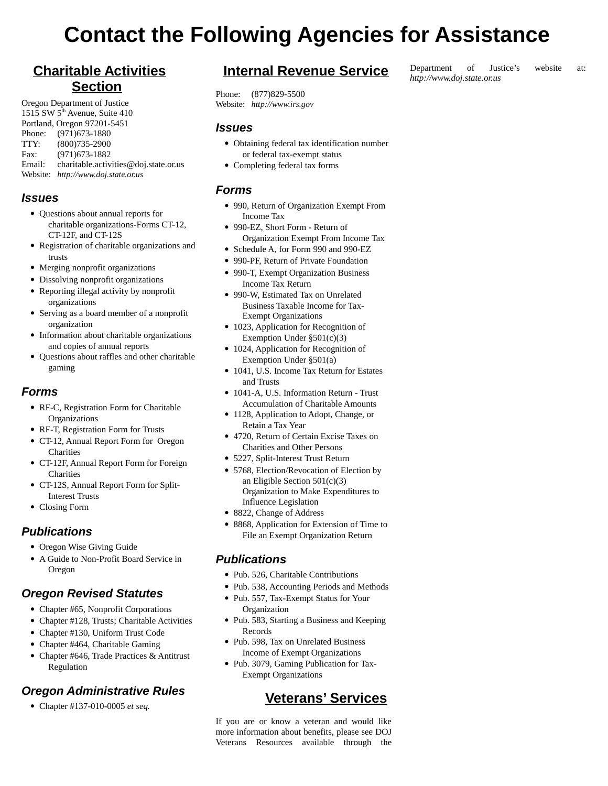# **Contact the Following Agencies for Assistance**

## **Charitable Activities Section**

Oregon Department of Justice 1515 SW 5<sup>th</sup> Avenue, Suite 410 Portland, Oregon 97201-5451 Phone: (971)673-1880 TTY: (800)735-2900 Fax: (971)673-1882 Email: charitable.activities@doj.state.or.us Website: *http://www.doj.state.or.us*

#### *Issues*

- Questions about annual reports for charitable organizations-Forms CT-12, CT-12F, and CT-12S
- Registration of charitable organizations and trusts
- Merging nonprofit organizations
- Dissolving nonprofit organizations
- Reporting illegal activity by nonprofit organizations
- Serving as a board member of a nonprofit organization
- Information about charitable organizations and copies of annual reports
- Questions about raffles and other charitable gaming

#### *Forms*

- RF-C, Registration Form for Charitable **Organizations**
- RF-T, Registration Form for Trusts
- CT-12, Annual Report Form for Oregon **Charities**
- CT-12F, Annual Report Form for Foreign **Charities**
- CT-12S, Annual Report Form for Split-Interest Trusts
- Closing Form

#### *Publications*

- Oregon Wise Giving Guide
- A Guide to Non-Profit Board Service in Oregon

#### *Oregon Revised Statutes*

- Chapter #65, Nonprofit Corporations
- Chapter #128, Trusts; Charitable Activities
- Chapter #130, Uniform Trust Code
- Chapter #464, Charitable Gaming
- Chapter #646, Trade Practices & Antitrust Regulation

#### *Oregon Administrative Rules*

Chapter #137-010-0005 *et seq.*

#### **Internal Revenue Service**

Phone: (877)829-5500 Website: *http://www.irs.gov*

#### *Issues*

- Obtaining federal tax identification number or federal tax-exempt status
- Completing federal tax forms

#### *Forms*

- 990, Return of Organization Exempt From Income Tax
- 990-EZ, Short Form Return of Organization Exempt From Income Tax
- Schedule A, for Form 990 and 990-EZ
- 990-PF, Return of Private Foundation
- 990-T, Exempt Organization Business Income Tax Return
- 990-W, Estimated Tax on Unrelated Business Taxable Income for Tax-Exempt Organizations
- 1023, Application for Recognition of Exemption Under §501(c)(3)
- 1024, Application for Recognition of Exemption Under §501(a)
- 1041, U.S. Income Tax Return for Estates and Trusts
- 1041-A, U.S. Information Return Trust Accumulation of Charitable Amounts
- 1128, Application to Adopt, Change, or Retain a Tax Year
- 4720, Return of Certain Excise Taxes on Charities and Other Persons
- 5227, Split-Interest Trust Return
- 5768, Election/Revocation of Election by an Eligible Section 501(c)(3) Organization to Make Expenditures to Influence Legislation
- 8822, Change of Address
- 8868, Application for Extension of Time to File an Exempt Organization Return

#### *Publications*

- Pub. 526, Charitable Contributions
- Pub. 538, Accounting Periods and Methods
- Pub. 557, Tax-Exempt Status for Your **Organization**
- Pub. 583, Starting a Business and Keeping Records
- Pub. 598, Tax on Unrelated Business Income of Exempt Organizations
- Pub. 3079, Gaming Publication for Tax-Exempt Organizations

#### **Veterans' Services**

If you are or know a veteran and would like more information about benefits, please see DOJ Veterans Resources available through the

#### Department of Justice's website at: *http://www.doj.state.or.us*